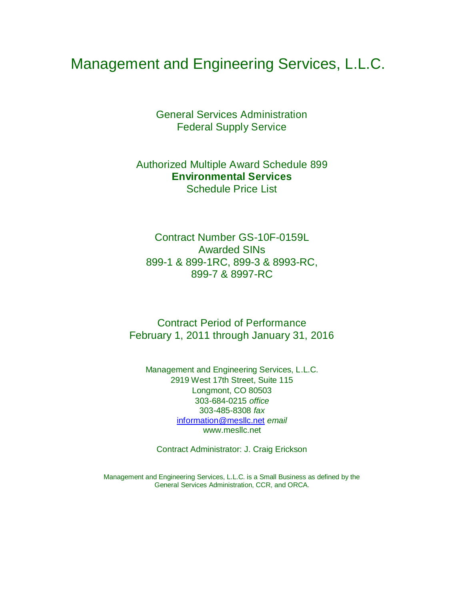# Management and Engineering Services, L.L.C.

General Services Administration Federal Supply Service

Authorized Multiple Award Schedule 899 **Environmental Services** Schedule Price List

Contract Number GS-10F-0159L Awarded SINs 899-1 & 899-1RC, 899-3 & 8993-RC, 899-7 & 8997-RC

Contract Period of Performance February 1, 2011 through January 31, 2016

Management and Engineering Services, L.L.C. 2919 West 17th Street, Suite 115 Longmont, CO 80503 303-684-0215 *office* 303-485-8308 *fax*  [information@mesllc.net](mailto:information@mesllc.net) *email*  [www.mesllc.net](http://www.mesllc.net/)

Contract Administrator: J. Craig Erickson

Management and Engineering Services, L.L.C. is a Small Business as defined by the General Services Administration, CCR, and ORCA.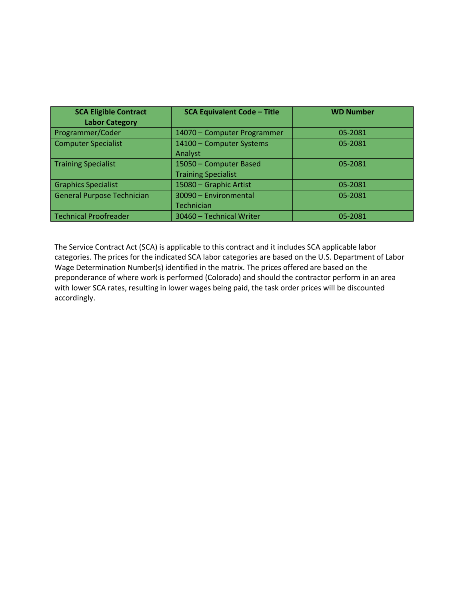| <b>SCA Eligible Contract</b><br><b>Labor Category</b> | <b>SCA Equivalent Code - Title</b>                   | <b>WD Number</b> |
|-------------------------------------------------------|------------------------------------------------------|------------------|
| Programmer/Coder                                      | 14070 - Computer Programmer                          | 05-2081          |
| <b>Computer Specialist</b>                            | 14100 - Computer Systems<br>Analyst                  | 05-2081          |
| <b>Training Specialist</b>                            | 15050 - Computer Based<br><b>Training Specialist</b> | 05-2081          |
| <b>Graphics Specialist</b>                            | 15080 - Graphic Artist                               | 05-2081          |
| <b>General Purpose Technician</b>                     | 30090 - Environmental<br>Technician                  | 05-2081          |
| Technical Proofreader                                 | 30460 - Technical Writer                             | 05-2081          |

The Service Contract Act (SCA) is applicable to this contract and it includes SCA applicable labor categories. The prices for the indicated SCA labor categories are based on the U.S. Department of Labor Wage Determination Number(s) identified in the matrix. The prices offered are based on the preponderance of where work is performed (Colorado) and should the contractor perform in an area with lower SCA rates, resulting in lower wages being paid, the task order prices will be discounted accordingly.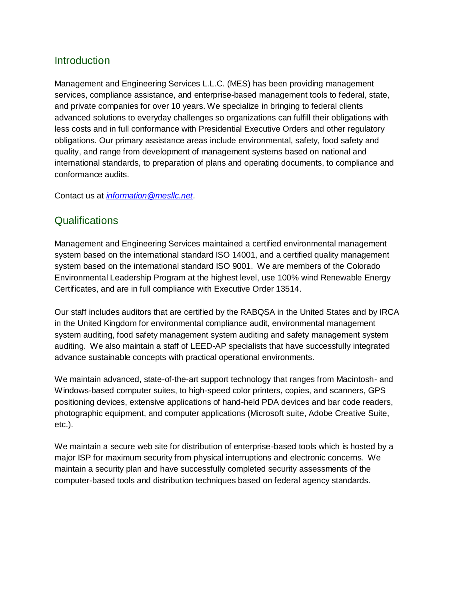## Introduction

Management and Engineering Services L.L.C. (MES) has been providing management services, compliance assistance, and enterprise-based management tools to federal, state, and private companies for over 10 years. We specialize in bringing to federal clients advanced solutions to everyday challenges so organizations can fulfill their obligations with less costs and in full conformance with Presidential Executive Orders and other regulatory obligations. Our primary assistance areas include environmental, safety, food safety and quality, and range from development of management systems based on national and international standards, to preparation of plans and operating documents, to compliance and conformance audits.

Contact us at *[information@mesllc.net](mailto:information@mesllc.net)*.

## **Qualifications**

Management and Engineering Services maintained a certified environmental management system based on the international standard ISO 14001, and a certified quality management system based on the international standard ISO 9001. We are members of the Colorado Environmental Leadership Program at the highest level, use 100% wind Renewable Energy Certificates, and are in full compliance with Executive Order 13514.

Our staff includes auditors that are certified by the RABQSA in the United States and by IRCA in the United Kingdom for environmental compliance audit, environmental management system auditing, food safety management system auditing and safety management system auditing. We also maintain a staff of LEED-AP specialists that have successfully integrated advance sustainable concepts with practical operational environments.

We maintain advanced, state-of-the-art support technology that ranges from Macintosh- and Windows-based computer suites, to high-speed color printers, copies, and scanners, GPS positioning devices, extensive applications of hand-held PDA devices and bar code readers, photographic equipment, and computer applications (Microsoft suite, Adobe Creative Suite, etc.).

We maintain a secure web site for distribution of enterprise-based tools which is hosted by a major ISP for maximum security from physical interruptions and electronic concerns. We maintain a security plan and have successfully completed security assessments of the computer-based tools and distribution techniques based on federal agency standards.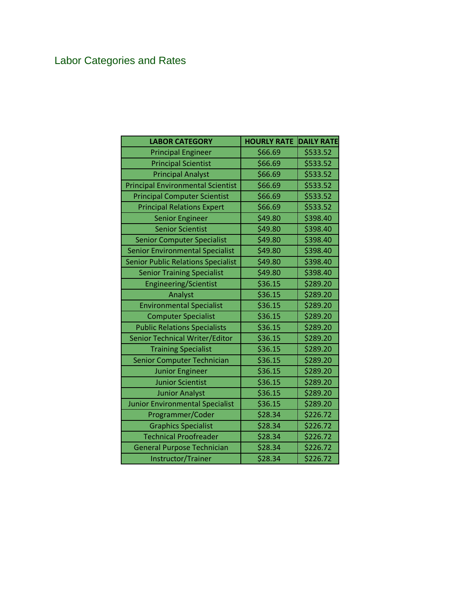# Labor Categories and Rates

| <b>LABOR CATEGORY</b>                     | <b>HOURLY RATE</b> | <b>DAILY RATE</b> |
|-------------------------------------------|--------------------|-------------------|
| <b>Principal Engineer</b>                 | \$66.69            | \$533.52          |
| <b>Principal Scientist</b>                | \$66.69            | \$533.52          |
| <b>Principal Analyst</b>                  | \$66.69            | \$533.52          |
| <b>Principal Environmental Scientist</b>  | \$66.69            | \$533.52          |
| <b>Principal Computer Scientist</b>       | \$66.69            | \$533.52          |
| <b>Principal Relations Expert</b>         | \$66.69            | \$533.52          |
| <b>Senior Engineer</b>                    | \$49.80            | \$398.40          |
| <b>Senior Scientist</b>                   | \$49.80            | \$398.40          |
| <b>Senior Computer Specialist</b>         | \$49.80            | \$398.40          |
| <b>Senior Environmental Specialist</b>    | \$49.80            | \$398.40          |
| <b>Senior Public Relations Specialist</b> | \$49.80            | \$398.40          |
| <b>Senior Training Specialist</b>         | \$49.80            | \$398.40          |
| <b>Engineering/Scientist</b>              | \$36.15            | \$289.20          |
| Analyst                                   | \$36.15            | \$289.20          |
| <b>Environmental Specialist</b>           | \$36.15            | \$289.20          |
| <b>Computer Specialist</b>                | \$36.15            | \$289.20          |
| <b>Public Relations Specialists</b>       | \$36.15            | \$289.20          |
| Senior Technical Writer/Editor            | \$36.15            | \$289.20          |
| <b>Training Specialist</b>                | \$36.15            | \$289.20          |
| Senior Computer Technician                | \$36.15            | \$289.20          |
| <b>Junior Engineer</b>                    | \$36.15            | \$289.20          |
| <b>Junior Scientist</b>                   | \$36.15            | \$289.20          |
| <b>Junior Analyst</b>                     | \$36.15            | \$289.20          |
| <b>Junior Environmental Specialist</b>    | \$36.15            | \$289.20          |
| Programmer/Coder                          | \$28.34            | \$226.72          |
| <b>Graphics Specialist</b>                | \$28.34            | \$226.72          |
| <b>Technical Proofreader</b>              | \$28.34            | \$226.72          |
| <b>General Purpose Technician</b>         | \$28.34            | \$226.72          |
| Instructor/Trainer                        | \$28.34            | \$226.72          |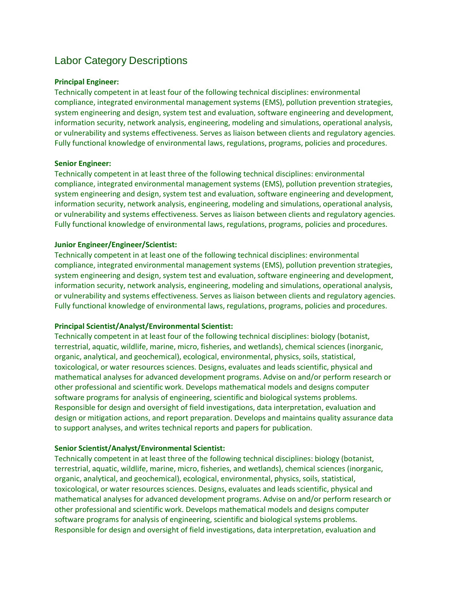# Labor Category Descriptions

#### **Principal Engineer:**

Technically competent in at least four of the following technical disciplines: environmental compliance, integrated environmental management systems (EMS), pollution prevention strategies, system engineering and design, system test and evaluation, software engineering and development, information security, network analysis, engineering, modeling and simulations, operational analysis, or vulnerability and systems effectiveness. Serves as liaison between clients and regulatory agencies. Fully functional knowledge of environmental laws, regulations, programs, policies and procedures.

#### **Senior Engineer:**

Technically competent in at least three of the following technical disciplines: environmental compliance, integrated environmental management systems (EMS), pollution prevention strategies, system engineering and design, system test and evaluation, software engineering and development, information security, network analysis, engineering, modeling and simulations, operational analysis, or vulnerability and systems effectiveness. Serves as liaison between clients and regulatory agencies. Fully functional knowledge of environmental laws, regulations, programs, policies and procedures.

#### **Junior Engineer/Engineer/Scientist:**

Technically competent in at least one of the following technical disciplines: environmental compliance, integrated environmental management systems (EMS), pollution prevention strategies, system engineering and design, system test and evaluation, software engineering and development, information security, network analysis, engineering, modeling and simulations, operational analysis, or vulnerability and systems effectiveness. Serves as liaison between clients and regulatory agencies. Fully functional knowledge of environmental laws, regulations, programs, policies and procedures.

#### **Principal Scientist/Analyst/Environmental Scientist:**

Technically competent in at least four of the following technical disciplines: biology (botanist, terrestrial, aquatic, wildlife, marine, micro, fisheries, and wetlands), chemical sciences (inorganic, organic, analytical, and geochemical), ecological, environmental, physics, soils, statistical, toxicological, or water resources sciences. Designs, evaluates and leads scientific, physical and mathematical analyses for advanced development programs. Advise on and/or perform research or other professional and scientific work. Develops mathematical models and designs computer software programs for analysis of engineering, scientific and biological systems problems. Responsible for design and oversight of field investigations, data interpretation, evaluation and design or mitigation actions, and report preparation. Develops and maintains quality assurance data to support analyses, and writes technical reports and papers for publication.

#### **Senior Scientist/Analyst/Environmental Scientist:**

Technically competent in at least three of the following technical disciplines: biology (botanist, terrestrial, aquatic, wildlife, marine, micro, fisheries, and wetlands), chemical sciences (inorganic, organic, analytical, and geochemical), ecological, environmental, physics, soils, statistical, toxicological, or water resources sciences. Designs, evaluates and leads scientific, physical and mathematical analyses for advanced development programs. Advise on and/or perform research or other professional and scientific work. Develops mathematical models and designs computer software programs for analysis of engineering, scientific and biological systems problems. Responsible for design and oversight of field investigations, data interpretation, evaluation and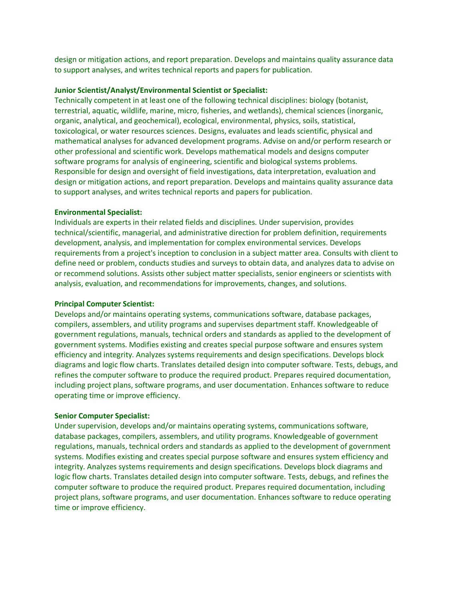design or mitigation actions, and report preparation. Develops and maintains quality assurance data to support analyses, and writes technical reports and papers for publication.

#### **Junior Scientist/Analyst/Environmental Scientist or Specialist:**

Technically competent in at least one of the following technical disciplines: biology (botanist, terrestrial, aquatic, wildlife, marine, micro, fisheries, and wetlands), chemical sciences (inorganic, organic, analytical, and geochemical), ecological, environmental, physics, soils, statistical, toxicological, or water resources sciences. Designs, evaluates and leads scientific, physical and mathematical analyses for advanced development programs. Advise on and/or perform research or other professional and scientific work. Develops mathematical models and designs computer software programs for analysis of engineering, scientific and biological systems problems. Responsible for design and oversight of field investigations, data interpretation, evaluation and design or mitigation actions, and report preparation. Develops and maintains quality assurance data to support analyses, and writes technical reports and papers for publication.

#### **Environmental Specialist:**

Individuals are experts in their related fields and disciplines. Under supervision, provides technical/scientific, managerial, and administrative direction for problem definition, requirements development, analysis, and implementation for complex environmental services. Develops requirements from a project's inception to conclusion in a subject matter area. Consults with client to define need or problem, conducts studies and surveys to obtain data, and analyzes data to advise on or recommend solutions. Assists other subject matter specialists, senior engineers or scientists with analysis, evaluation, and recommendations for improvements, changes, and solutions.

#### **Principal Computer Scientist:**

Develops and/or maintains operating systems, communications software, database packages, compilers, assemblers, and utility programs and supervises department staff. Knowledgeable of government regulations, manuals, technical orders and standards as applied to the development of government systems. Modifies existing and creates special purpose software and ensures system efficiency and integrity. Analyzes systems requirements and design specifications. Develops block diagrams and logic flow charts. Translates detailed design into computer software. Tests, debugs, and refines the computer software to produce the required product. Prepares required documentation, including project plans, software programs, and user documentation. Enhances software to reduce operating time or improve efficiency.

#### **Senior Computer Specialist:**

Under supervision, develops and/or maintains operating systems, communications software, database packages, compilers, assemblers, and utility programs. Knowledgeable of government regulations, manuals, technical orders and standards as applied to the development of government systems. Modifies existing and creates special purpose software and ensures system efficiency and integrity. Analyzes systems requirements and design specifications. Develops block diagrams and logic flow charts. Translates detailed design into computer software. Tests, debugs, and refines the computer software to produce the required product. Prepares required documentation, including project plans, software programs, and user documentation. Enhances software to reduce operating time or improve efficiency.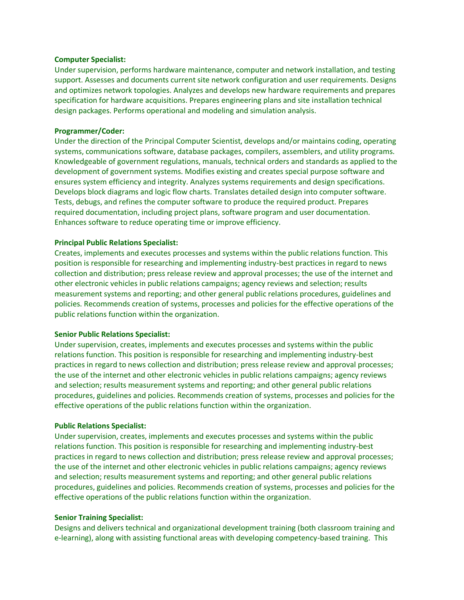#### **Computer Specialist:**

Under supervision, performs hardware maintenance, computer and network installation, and testing support. Assesses and documents current site network configuration and user requirements. Designs and optimizes network topologies. Analyzes and develops new hardware requirements and prepares specification for hardware acquisitions. Prepares engineering plans and site installation technical design packages. Performs operational and modeling and simulation analysis.

#### **Programmer/Coder:**

Under the direction of the Principal Computer Scientist, develops and/or maintains coding, operating systems, communications software, database packages, compilers, assemblers, and utility programs. Knowledgeable of government regulations, manuals, technical orders and standards as applied to the development of government systems. Modifies existing and creates special purpose software and ensures system efficiency and integrity. Analyzes systems requirements and design specifications. Develops block diagrams and logic flow charts. Translates detailed design into computer software. Tests, debugs, and refines the computer software to produce the required product. Prepares required documentation, including project plans, software program and user documentation. Enhances software to reduce operating time or improve efficiency.

#### **Principal Public Relations Specialist:**

Creates, implements and executes processes and systems within the public relations function. This position is responsible for researching and implementing industry-best practices in regard to news collection and distribution; press release review and approval processes; the use of the internet and other electronic vehicles in public relations campaigns; agency reviews and selection; results measurement systems and reporting; and other general public relations procedures, guidelines and policies. Recommends creation of systems, processes and policies for the effective operations of the public relations function within the organization.

#### **Senior Public Relations Specialist:**

Under supervision, creates, implements and executes processes and systems within the public relations function. This position is responsible for researching and implementing industry-best practices in regard to news collection and distribution; press release review and approval processes; the use of the internet and other electronic vehicles in public relations campaigns; agency reviews and selection; results measurement systems and reporting; and other general public relations procedures, guidelines and policies. Recommends creation of systems, processes and policies for the effective operations of the public relations function within the organization.

#### **Public Relations Specialist:**

Under supervision, creates, implements and executes processes and systems within the public relations function. This position is responsible for researching and implementing industry-best practices in regard to news collection and distribution; press release review and approval processes; the use of the internet and other electronic vehicles in public relations campaigns; agency reviews and selection; results measurement systems and reporting; and other general public relations procedures, guidelines and policies. Recommends creation of systems, processes and policies for the effective operations of the public relations function within the organization.

#### **Senior Training Specialist:**

Designs and delivers technical and organizational development training (both classroom training and e-learning), along with assisting functional areas with developing competency-based training. This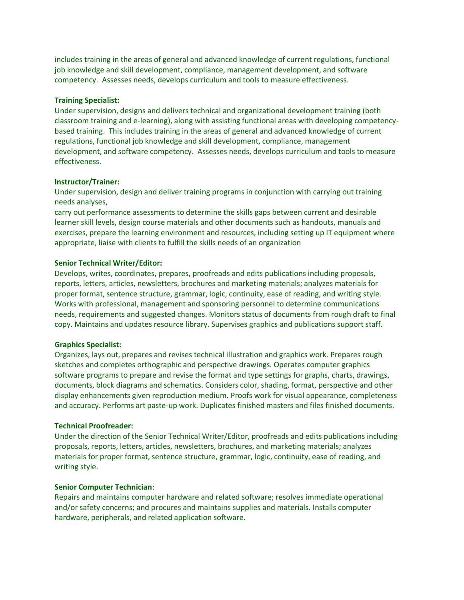includes training in the areas of general and advanced knowledge of current regulations, functional job knowledge and skill development, compliance, management development, and software competency. Assesses needs, develops curriculum and tools to measure effectiveness.

#### **Training Specialist:**

Under supervision, designs and delivers technical and organizational development training (both classroom training and e-learning), along with assisting functional areas with developing competencybased training. This includes training in the areas of general and advanced knowledge of current regulations, functional job knowledge and skill development, compliance, management development, and software competency. Assesses needs, develops curriculum and tools to measure effectiveness.

#### **Instructor/Trainer:**

Under supervision, design and deliver training programs in conjunction with carrying out training needs analyses,

carry out performance assessments to determine the skills gaps between current and desirable learner skill levels, design course materials and other documents such as handouts, manuals and exercises, prepare the learning environment and resources, including setting up IT equipment where appropriate, liaise with clients to fulfill the skills needs of an organization

#### **Senior Technical Writer/Editor:**

Develops, writes, coordinates, prepares, proofreads and edits publications including proposals, reports, letters, articles, newsletters, brochures and marketing materials; analyzes materials for proper format, sentence structure, grammar, logic, continuity, ease of reading, and writing style. Works with professional, management and sponsoring personnel to determine communications needs, requirements and suggested changes. Monitors status of documents from rough draft to final copy. Maintains and updates resource library. Supervises graphics and publications support staff.

#### **Graphics Specialist:**

Organizes, lays out, prepares and revises technical illustration and graphics work. Prepares rough sketches and completes orthographic and perspective drawings. Operates computer graphics software programs to prepare and revise the format and type settings for graphs, charts, drawings, documents, block diagrams and schematics. Considers color, shading, format, perspective and other display enhancements given reproduction medium. Proofs work for visual appearance, completeness and accuracy. Performs art paste-up work. Duplicates finished masters and files finished documents.

#### **Technical Proofreader:**

Under the direction of the Senior Technical Writer/Editor, proofreads and edits publications including proposals, reports, letters, articles, newsletters, brochures, and marketing materials; analyzes materials for proper format, sentence structure, grammar, logic, continuity, ease of reading, and writing style.

#### **Senior Computer Technician**:

Repairs and maintains computer hardware and related software; resolves immediate operational and/or safety concerns; and procures and maintains supplies and materials. Installs computer hardware, peripherals, and related application software.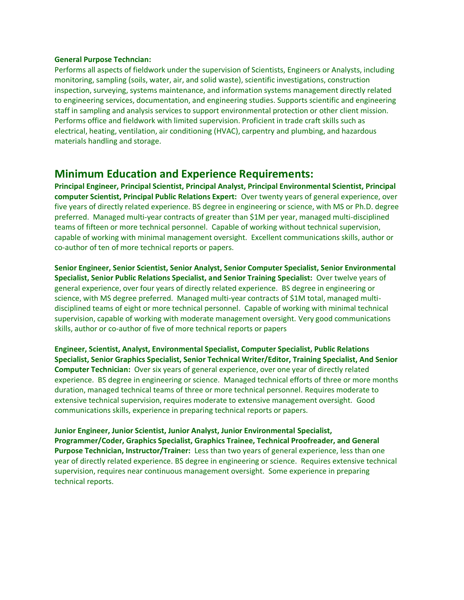#### **General Purpose Techncian:**

Performs all aspects of fieldwork under the supervision of Scientists, Engineers or Analysts, including monitoring, sampling (soils, water, air, and solid waste), scientific investigations, construction inspection, surveying, systems maintenance, and information systems management directly related to engineering services, documentation, and engineering studies. Supports scientific and engineering staff in sampling and analysis services to support environmental protection or other client mission. Performs office and fieldwork with limited supervision. Proficient in trade craft skills such as electrical, heating, ventilation, air conditioning (HVAC), carpentry and plumbing, and hazardous materials handling and storage.

## **Minimum Education and Experience Requirements:**

**Principal Engineer, Principal Scientist, Principal Analyst, Principal Environmental Scientist, Principal computer Scientist, Principal Public Relations Expert:** Over twenty years of general experience, over five years of directly related experience. BS degree in engineering or science, with MS or Ph.D. degree preferred. Managed multi-year contracts of greater than \$1M per year, managed multi-disciplined teams of fifteen or more technical personnel. Capable of working without technical supervision, capable of working with minimal management oversight. Excellent communications skills, author or co-author of ten of more technical reports or papers.

**Senior Engineer, Senior Scientist, Senior Analyst, Senior Computer Specialist, Senior Environmental Specialist, Senior Public Relations Specialist, and Senior Training Specialist:** Over twelve years of general experience, over four years of directly related experience. BS degree in engineering or science, with MS degree preferred. Managed multi-year contracts of \$1M total, managed multidisciplined teams of eight or more technical personnel. Capable of working with minimal technical supervision, capable of working with moderate management oversight. Very good communications skills, author or co-author of five of more technical reports or papers

**Engineer, Scientist, Analyst, Environmental Specialist, Computer Specialist, Public Relations Specialist, Senior Graphics Specialist, Senior Technical Writer/Editor, Training Specialist, And Senior Computer Technician:** Over six years of general experience, over one year of directly related experience. BS degree in engineering or science. Managed technical efforts of three or more months duration, managed technical teams of three or more technical personnel. Requires moderate to extensive technical supervision, requires moderate to extensive management oversight. Good communications skills, experience in preparing technical reports or papers.

**Junior Engineer, Junior Scientist, Junior Analyst, Junior Environmental Specialist, Programmer/Coder, Graphics Specialist, Graphics Trainee, Technical Proofreader, and General Purpose Technician, Instructor/Trainer:** Less than two years of general experience, less than one year of directly related experience. BS degree in engineering or science. Requires extensive technical supervision, requires near continuous management oversight. Some experience in preparing technical reports.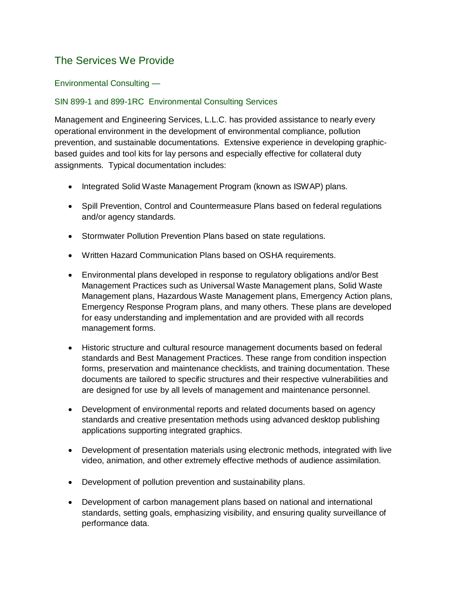# The Services We Provide

## Environmental Consulting —

## SIN 899-1 and 899-1RC Environmental Consulting Services

Management and Engineering Services, L.L.C. has provided assistance to nearly every operational environment in the development of environmental compliance, pollution prevention, and sustainable documentations. Extensive experience in developing graphicbased guides and tool kits for lay persons and especially effective for collateral duty assignments. Typical documentation includes:

- Integrated Solid Waste Management Program (known as ISWAP) plans.
- Spill Prevention, Control and Countermeasure Plans based on federal regulations and/or agency standards.
- Stormwater Pollution Prevention Plans based on state regulations.
- Written Hazard Communication Plans based on OSHA requirements.
- Environmental plans developed in response to regulatory obligations and/or Best Management Practices such as Universal Waste Management plans, Solid Waste Management plans, Hazardous Waste Management plans, Emergency Action plans, Emergency Response Program plans, and many others. These plans are developed for easy understanding and implementation and are provided with all records management forms.
- Historic structure and cultural resource management documents based on federal standards and Best Management Practices. These range from condition inspection forms, preservation and maintenance checklists, and training documentation. These documents are tailored to specific structures and their respective vulnerabilities and are designed for use by all levels of management and maintenance personnel.
- Development of environmental reports and related documents based on agency standards and creative presentation methods using advanced desktop publishing applications supporting integrated graphics.
- Development of presentation materials using electronic methods, integrated with live video, animation, and other extremely effective methods of audience assimilation.
- Development of pollution prevention and sustainability plans.
- Development of carbon management plans based on national and international standards, setting goals, emphasizing visibility, and ensuring quality surveillance of performance data.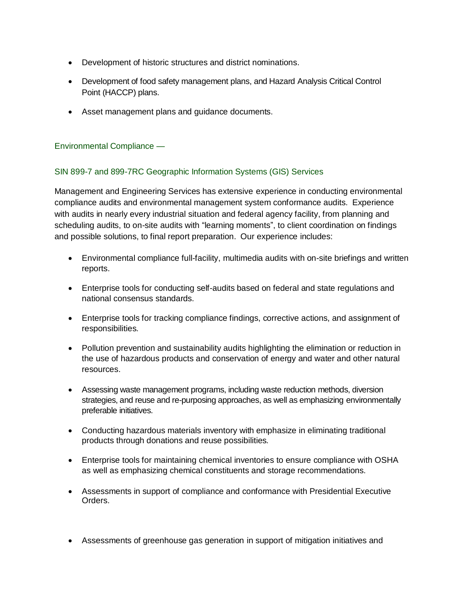- Development of historic structures and district nominations.
- Development of food safety management plans, and Hazard Analysis Critical Control Point (HACCP) plans.
- Asset management plans and guidance documents.

## Environmental Compliance —

## SIN 899-7 and 899-7RC Geographic Information Systems (GIS) Services

Management and Engineering Services has extensive experience in conducting environmental compliance audits and environmental management system conformance audits. Experience with audits in nearly every industrial situation and federal agency facility, from planning and scheduling audits, to on-site audits with "learning moments", to client coordination on findings and possible solutions, to final report preparation. Our experience includes:

- Environmental compliance full-facility, multimedia audits with on-site briefings and written reports.
- Enterprise tools for conducting self-audits based on federal and state regulations and national consensus standards.
- Enterprise tools for tracking compliance findings, corrective actions, and assignment of responsibilities.
- Pollution prevention and sustainability audits highlighting the elimination or reduction in the use of hazardous products and conservation of energy and water and other natural resources.
- Assessing waste management programs, including waste reduction methods, diversion strategies, and reuse and re-purposing approaches, as well as emphasizing environmentally preferable initiatives.
- Conducting hazardous materials inventory with emphasize in eliminating traditional products through donations and reuse possibilities.
- Enterprise tools for maintaining chemical inventories to ensure compliance with OSHA as well as emphasizing chemical constituents and storage recommendations.
- Assessments in support of compliance and conformance with Presidential Executive Orders.
- Assessments of greenhouse gas generation in support of mitigation initiatives and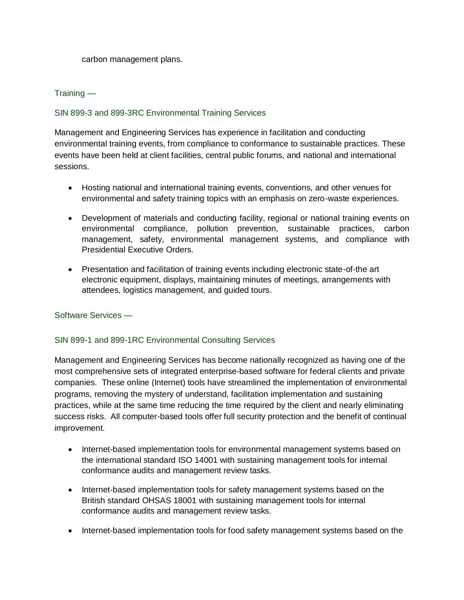carbon management plans.

## Training —

## SIN 899-3 and 899-3RC Environmental Training Services

Management and Engineering Services has experience in facilitation and conducting environmental training events, from compliance to conformance to sustainable practices. These events have been held at client facilities, central public forums, and national and international sessions.

- Hosting national and international training events, conventions, and other venues for environmental and safety training topics with an emphasis on zero-waste experiences.
- Development of materials and conducting facility, regional or national training events on environmental compliance, pollution prevention, sustainable practices, carbon management, safety, environmental management systems, and compliance with Presidential Executive Orders.
- Presentation and facilitation of training events including electronic state-of-the art electronic equipment, displays, maintaining minutes of meetings, arrangements with attendees, logistics management, and guided tours.

Software Services —

## SIN 899-1 and 899-1RC Environmental Consulting Services

Management and Engineering Services has become nationally recognized as having one of the most comprehensive sets of integrated enterprise-based software for federal clients and private companies. These online (Internet) tools have streamlined the implementation of environmental programs, removing the mystery of understand, facilitation implementation and sustaining practices, while at the same time reducing the time required by the client and nearly eliminating success risks. All computer-based tools offer full security protection and the benefit of continual improvement.

- Internet-based implementation tools for environmental management systems based on the international standard ISO 14001 with sustaining management tools for internal conformance audits and management review tasks.
- Internet-based implementation tools for safety management systems based on the British standard OHSAS 18001 with sustaining management tools for internal conformance audits and management review tasks.
- Internet-based implementation tools for food safety management systems based on the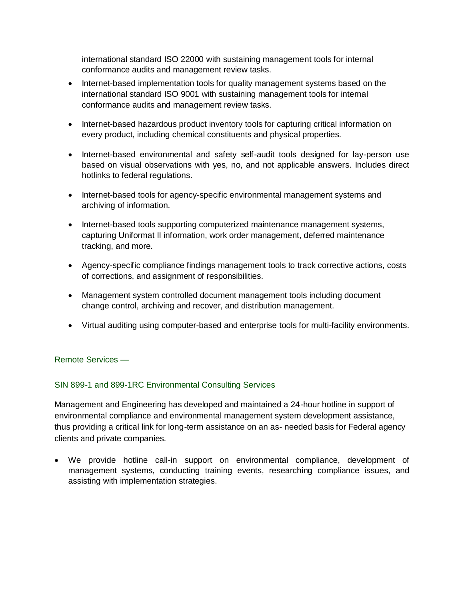international standard ISO 22000 with sustaining management tools for internal conformance audits and management review tasks.

- Internet-based implementation tools for quality management systems based on the international standard ISO 9001 with sustaining management tools for internal conformance audits and management review tasks.
- Internet-based hazardous product inventory tools for capturing critical information on every product, including chemical constituents and physical properties.
- Internet-based environmental and safety self-audit tools designed for lay-person use based on visual observations with yes, no, and not applicable answers. Includes direct hotlinks to federal regulations.
- Internet-based tools for agency-specific environmental management systems and archiving of information.
- Internet-based tools supporting computerized maintenance management systems, capturing Uniformat II information, work order management, deferred maintenance tracking, and more.
- Agency-specific compliance findings management tools to track corrective actions, costs of corrections, and assignment of responsibilities.
- Management system controlled document management tools including document change control, archiving and recover, and distribution management.
- Virtual auditing using computer-based and enterprise tools for multi-facility environments.

### Remote Services —

### SIN 899-1 and 899-1RC Environmental Consulting Services

Management and Engineering has developed and maintained a 24-hour hotline in support of environmental compliance and environmental management system development assistance, thus providing a critical link for long-term assistance on an as- needed basis for Federal agency clients and private companies.

 We provide hotline call-in support on environmental compliance, development of management systems, conducting training events, researching compliance issues, and assisting with implementation strategies.